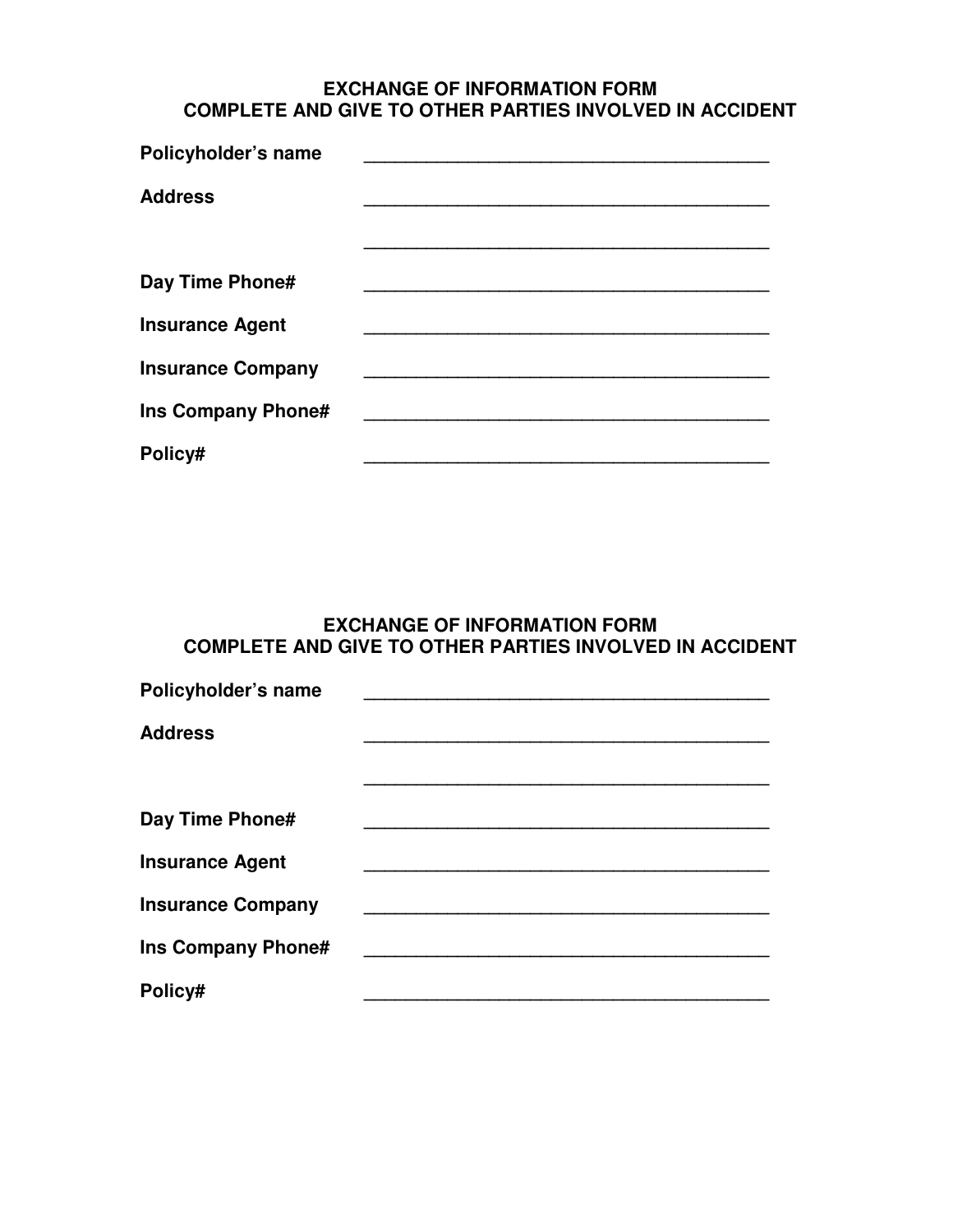## **EXCHANGE OF INFORMATION FORM COMPLETE AND GIVE TO OTHER PARTIES INVOLVED IN ACCIDENT**

| Policyholder's name       |  |
|---------------------------|--|
| <b>Address</b>            |  |
|                           |  |
| Day Time Phone#           |  |
| <b>Insurance Agent</b>    |  |
| <b>Insurance Company</b>  |  |
| <b>Ins Company Phone#</b> |  |
| Policy#                   |  |

## **EXCHANGE OF INFORMATION FORM COMPLETE AND GIVE TO OTHER PARTIES INVOLVED IN ACCIDENT**

| Policyholder's name       |  |
|---------------------------|--|
| <b>Address</b>            |  |
|                           |  |
| Day Time Phone#           |  |
| <b>Insurance Agent</b>    |  |
| <b>Insurance Company</b>  |  |
| <b>Ins Company Phone#</b> |  |
| Policy#                   |  |